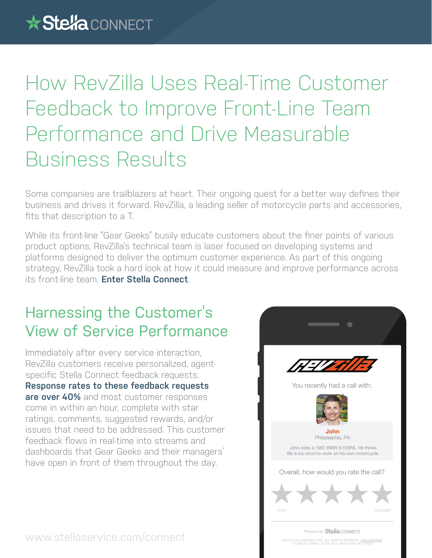## How RevZilla Uses Real-Time Customer Feedback to Improve Front-Line Team Performance and Drive Measurable Business Results

Some companies are trailblazers at heart. Their ongoing quest for a better way defines their business and drives it forward. RevZilla, a leading seller of motorcycle parts and accessories, fits that description to a T.

While its front-line "Gear Geeks" busily educate customers about the finer points of various product options, RevZilla's technical team is laser focused on developing systems and platforms designed to deliver the optimum customer experience. As part of this ongoing strategy, RevZilla took a hard look at how it could measure and improve performance across its front-line team. **Enter Stella Connect**.

## Harnessing the Customer's View of Service Performance

Immediately after every service interaction, RevZilla customers receive personalized, agentspecific Stella Connect feedback requests. **Response rates to these feedback requests are over 40%** and most customer responses come in within an hour, complete with star ratings, comments, suggested rewards, and/or issues that need to be addressed. This customer feedback flows in real-time into streams and dashboards that Gear Geeks and their managers' have open in front of them throughout the day.



www.stellaservice.com/connect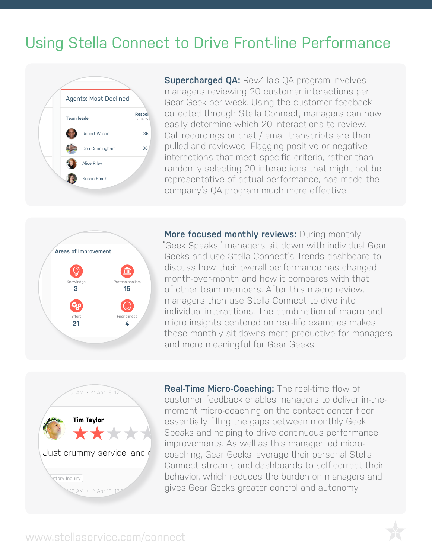## Lloing Ctalle Cappact to  $+$   $\sim$  II Using Stella Connect to Drive Front-line Performance



**PERSONAL EXAMPLE 20 INTEREST AND CONSIDER AN AREA CONSIDER**<br> **PASSIFY determine which 20 interactions to review. Supercharged QA: RevZilla's QA program involves** managers reviewing 20 customer interactions per Gear Geek per week. Using the customer feedback **Team leader Star Respo Collected through Stella Connect, managers can now**  $Robert Wilson$   $35$  Call recordings or chat / email transcripts are then pulled and reviewed. Flagging positive or negative interactions that meet specific criteria, rather than randomly selecting 20 interactions that might not be randomly selecting and interactions that might not be representative of actual performance, has made the company's QA program much more effective.



**More focused monthly reviews: During monthly** "Geek Speaks," managers sit down with individual Gear Geeks and use Stella Connect's Trends dashboard to discuss how their overall performance has changed *Medge* Professionalism month-over-month and how it compares with that **15 12** of other team members. After this macro review, managers then use Stella Connect to dive into individual interactions. The combination of macro and micro insights centered on real-life examples makes these monthly sit-downs more productive for managers and more meaningful for Gear Geeks. **15** menth ever menth and bow it compared with that



**Real-Time Micro-Coaching:** The real-time flow of customer feedback enables managers to deliver in-themoment micro-coaching on the contact center floor, essentially filling the gaps between monthly Geek Speaks and helping to drive continuous performance improvements. As well as this manager led microcoaching, Gear Geeks leverage their personal Stella Connect streams and dashboards to self-correct their behavior, which reduces the burden on managers and gives Gear Geeks greater control and autonomy.